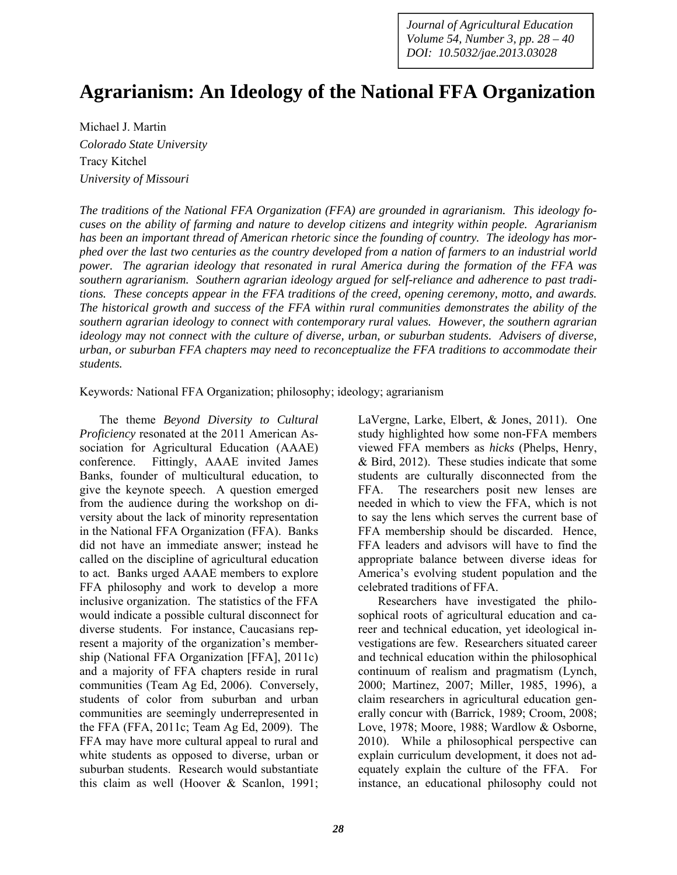*Journal of Agricultural Education Volume 54, Number 3, pp. 28 – 40 DOI: 10.5032/jae.2013.03028* 

# **Agrarianism: An Ideology of the National FFA Organization**

Michael J. Martin *Colorado State University*  Tracy Kitchel *University of Missouri* 

*The traditions of the National FFA Organization (FFA) are grounded in agrarianism. This ideology focuses on the ability of farming and nature to develop citizens and integrity within people. Agrarianism has been an important thread of American rhetoric since the founding of country. The ideology has morphed over the last two centuries as the country developed from a nation of farmers to an industrial world power. The agrarian ideology that resonated in rural America during the formation of the FFA was southern agrarianism. Southern agrarian ideology argued for self-reliance and adherence to past traditions. These concepts appear in the FFA traditions of the creed, opening ceremony, motto, and awards. The historical growth and success of the FFA within rural communities demonstrates the ability of the southern agrarian ideology to connect with contemporary rural values. However, the southern agrarian ideology may not connect with the culture of diverse, urban, or suburban students. Advisers of diverse, urban, or suburban FFA chapters may need to reconceptualize the FFA traditions to accommodate their students.* 

Keywords*:* National FFA Organization; philosophy; ideology; agrarianism

The theme *Beyond Diversity to Cultural Proficiency* resonated at the 2011 American Association for Agricultural Education (AAAE) conference. Fittingly, AAAE invited James Banks, founder of multicultural education, to give the keynote speech. A question emerged from the audience during the workshop on diversity about the lack of minority representation in the National FFA Organization (FFA). Banks did not have an immediate answer; instead he called on the discipline of agricultural education to act. Banks urged AAAE members to explore FFA philosophy and work to develop a more inclusive organization. The statistics of the FFA would indicate a possible cultural disconnect for diverse students. For instance, Caucasians represent a majority of the organization's membership (National FFA Organization [FFA], 2011c) and a majority of FFA chapters reside in rural communities (Team Ag Ed, 2006). Conversely, students of color from suburban and urban communities are seemingly underrepresented in the FFA (FFA, 2011c; Team Ag Ed, 2009). The FFA may have more cultural appeal to rural and white students as opposed to diverse, urban or suburban students. Research would substantiate this claim as well (Hoover & Scanlon, 1991; LaVergne, Larke, Elbert, & Jones, 2011). One study highlighted how some non-FFA members viewed FFA members as *hicks* (Phelps, Henry, & Bird, 2012). These studies indicate that some students are culturally disconnected from the FFA. The researchers posit new lenses are needed in which to view the FFA, which is not to say the lens which serves the current base of FFA membership should be discarded. Hence, FFA leaders and advisors will have to find the appropriate balance between diverse ideas for America's evolving student population and the celebrated traditions of FFA.

Researchers have investigated the philosophical roots of agricultural education and career and technical education, yet ideological investigations are few. Researchers situated career and technical education within the philosophical continuum of realism and pragmatism (Lynch, 2000; Martinez, 2007; Miller, 1985, 1996), a claim researchers in agricultural education generally concur with (Barrick, 1989; Croom, 2008; Love, 1978; Moore, 1988; Wardlow & Osborne, 2010). While a philosophical perspective can explain curriculum development, it does not adequately explain the culture of the FFA. For instance, an educational philosophy could not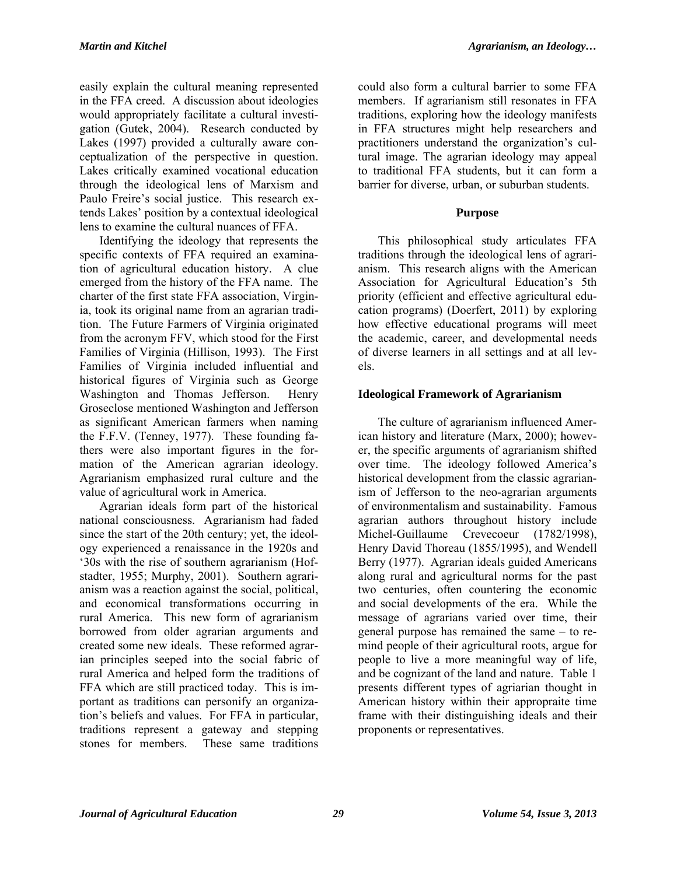easily explain the cultural meaning represented in the FFA creed. A discussion about ideologies would appropriately facilitate a cultural investigation (Gutek, 2004). Research conducted by Lakes (1997) provided a culturally aware conceptualization of the perspective in question. Lakes critically examined vocational education through the ideological lens of Marxism and Paulo Freire's social justice. This research extends Lakes' position by a contextual ideological lens to examine the cultural nuances of FFA.

Identifying the ideology that represents the specific contexts of FFA required an examination of agricultural education history. A clue emerged from the history of the FFA name. The charter of the first state FFA association, Virginia, took its original name from an agrarian tradition. The Future Farmers of Virginia originated from the acronym FFV, which stood for the First Families of Virginia (Hillison, 1993). The First Families of Virginia included influential and historical figures of Virginia such as George Washington and Thomas Jefferson. Henry Groseclose mentioned Washington and Jefferson as significant American farmers when naming the F.F.V. (Tenney, 1977). These founding fathers were also important figures in the formation of the American agrarian ideology. Agrarianism emphasized rural culture and the value of agricultural work in America.

Agrarian ideals form part of the historical national consciousness. Agrarianism had faded since the start of the 20th century; yet, the ideology experienced a renaissance in the 1920s and '30s with the rise of southern agrarianism (Hofstadter, 1955; Murphy, 2001). Southern agrarianism was a reaction against the social, political, and economical transformations occurring in rural America. This new form of agrarianism borrowed from older agrarian arguments and created some new ideals. These reformed agrarian principles seeped into the social fabric of rural America and helped form the traditions of FFA which are still practiced today. This is important as traditions can personify an organization's beliefs and values. For FFA in particular, traditions represent a gateway and stepping stones for members. These same traditions

could also form a cultural barrier to some FFA members. If agrarianism still resonates in FFA traditions, exploring how the ideology manifests in FFA structures might help researchers and practitioners understand the organization's cultural image. The agrarian ideology may appeal to traditional FFA students, but it can form a barrier for diverse, urban, or suburban students.

## **Purpose**

This philosophical study articulates FFA traditions through the ideological lens of agrarianism. This research aligns with the American Association for Agricultural Education's 5th priority (efficient and effective agricultural education programs) (Doerfert, 2011) by exploring how effective educational programs will meet the academic, career, and developmental needs of diverse learners in all settings and at all levels.

# **Ideological Framework of Agrarianism**

The culture of agrarianism influenced American history and literature (Marx, 2000); however, the specific arguments of agrarianism shifted over time. The ideology followed America's historical development from the classic agrarianism of Jefferson to the neo-agrarian arguments of environmentalism and sustainability. Famous agrarian authors throughout history include Michel-Guillaume Crevecoeur (1782/1998), Henry David Thoreau (1855/1995), and Wendell Berry (1977). Agrarian ideals guided Americans along rural and agricultural norms for the past two centuries, often countering the economic and social developments of the era. While the message of agrarians varied over time, their general purpose has remained the same – to remind people of their agricultural roots, argue for people to live a more meaningful way of life, and be cognizant of the land and nature. Table 1 presents different types of agriarian thought in American history within their appropraite time frame with their distinguishing ideals and their proponents or representatives.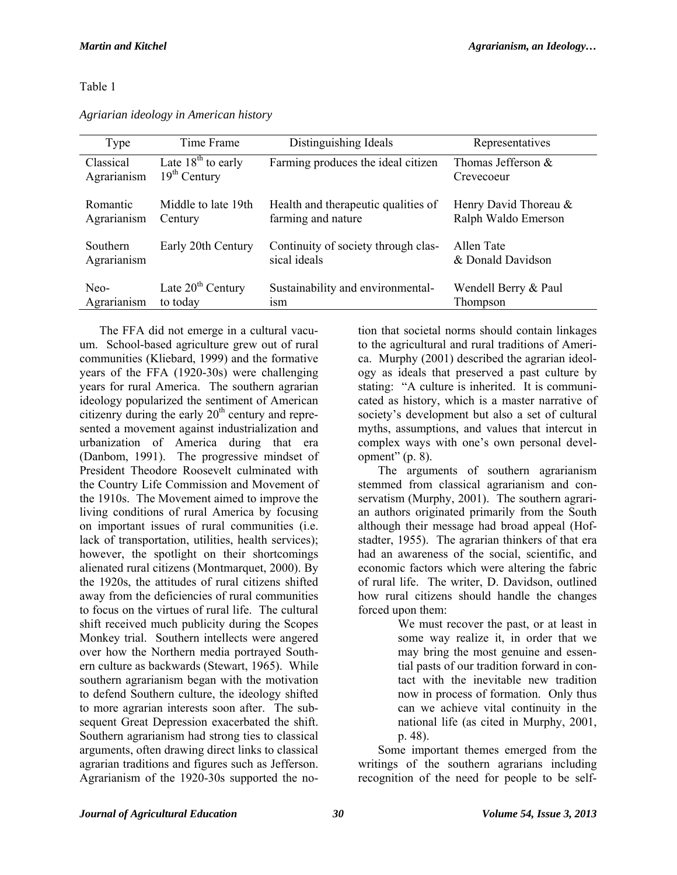### Table 1

| Agriarian ideology in American history |  |  |
|----------------------------------------|--|--|
|                                        |  |  |

| Type        | Time Frame           | Distinguishing Ideals               | Representatives       |
|-------------|----------------------|-------------------------------------|-----------------------|
| Classical   | Late $18th$ to early | Farming produces the ideal citizen  | Thomas Jefferson &    |
| Agrarianism | $19th$ Century       |                                     | Crevecoeur            |
| Romantic    | Middle to late 19th  | Health and therapeutic qualities of | Henry David Thoreau & |
| Agrarianism | Century              | farming and nature                  | Ralph Waldo Emerson   |
| Southern    | Early 20th Century   | Continuity of society through clas- | Allen Tate            |
| Agrarianism |                      | sical ideals                        | & Donald Davidson     |
| Neo-        | Late $20th$ Century  | Sustainability and environmental-   | Wendell Berry & Paul  |
| Agrarianism | to today             | 1S <sub>m</sub>                     | Thompson              |

The FFA did not emerge in a cultural vacuum. School-based agriculture grew out of rural communities (Kliebard, 1999) and the formative years of the FFA (1920-30s) were challenging years for rural America. The southern agrarian ideology popularized the sentiment of American citizenry during the early  $20<sup>th</sup>$  century and represented a movement against industrialization and urbanization of America during that era (Danbom, 1991). The progressive mindset of President Theodore Roosevelt culminated with the Country Life Commission and Movement of the 1910s. The Movement aimed to improve the living conditions of rural America by focusing on important issues of rural communities (i.e. lack of transportation, utilities, health services); however, the spotlight on their shortcomings alienated rural citizens (Montmarquet, 2000). By the 1920s, the attitudes of rural citizens shifted away from the deficiencies of rural communities to focus on the virtues of rural life. The cultural shift received much publicity during the Scopes Monkey trial. Southern intellects were angered over how the Northern media portrayed Southern culture as backwards (Stewart, 1965). While southern agrarianism began with the motivation to defend Southern culture, the ideology shifted to more agrarian interests soon after. The subsequent Great Depression exacerbated the shift. Southern agrarianism had strong ties to classical arguments, often drawing direct links to classical agrarian traditions and figures such as Jefferson. Agrarianism of the 1920-30s supported the notion that societal norms should contain linkages to the agricultural and rural traditions of America. Murphy (2001) described the agrarian ideology as ideals that preserved a past culture by stating: "A culture is inherited. It is communicated as history, which is a master narrative of society's development but also a set of cultural myths, assumptions, and values that intercut in complex ways with one's own personal development"  $(p. 8)$ .

The arguments of southern agrarianism stemmed from classical agrarianism and conservatism (Murphy, 2001). The southern agrarian authors originated primarily from the South although their message had broad appeal (Hofstadter, 1955). The agrarian thinkers of that era had an awareness of the social, scientific, and economic factors which were altering the fabric of rural life. The writer, D. Davidson, outlined how rural citizens should handle the changes forced upon them:

We must recover the past, or at least in some way realize it, in order that we may bring the most genuine and essential pasts of our tradition forward in contact with the inevitable new tradition now in process of formation. Only thus can we achieve vital continuity in the national life (as cited in Murphy, 2001, p. 48).

Some important themes emerged from the writings of the southern agrarians including recognition of the need for people to be self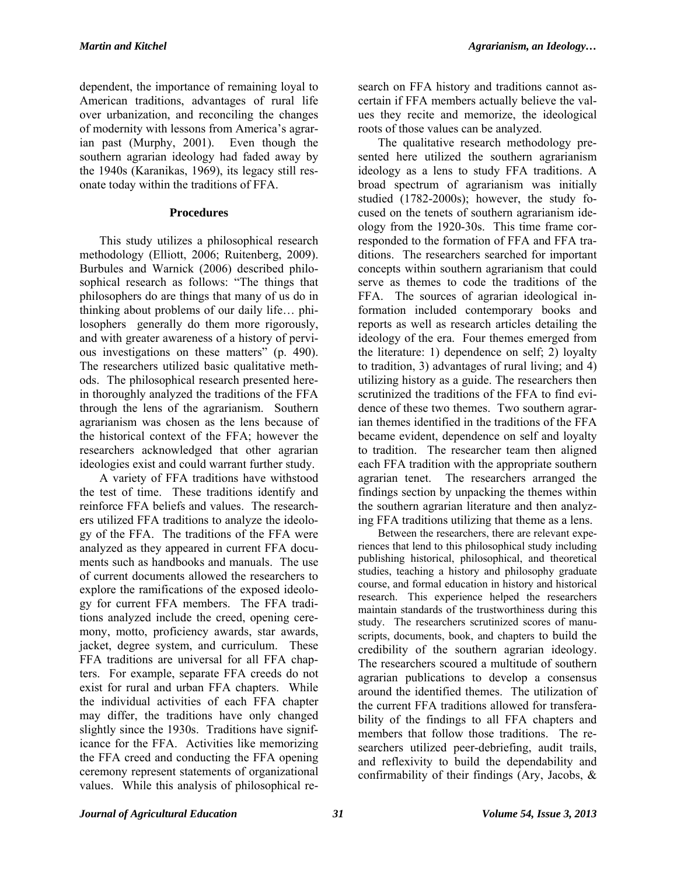dependent, the importance of remaining loyal to American traditions, advantages of rural life over urbanization, and reconciling the changes of modernity with lessons from America's agrarian past (Murphy, 2001). Even though the southern agrarian ideology had faded away by the 1940s (Karanikas, 1969), its legacy still resonate today within the traditions of FFA.

## **Procedures**

This study utilizes a philosophical research methodology (Elliott, 2006; Ruitenberg, 2009). Burbules and Warnick (2006) described philosophical research as follows: "The things that philosophers do are things that many of us do in thinking about problems of our daily life… philosophers generally do them more rigorously, and with greater awareness of a history of pervious investigations on these matters" (p. 490). The researchers utilized basic qualitative methods. The philosophical research presented herein thoroughly analyzed the traditions of the FFA through the lens of the agrarianism. Southern agrarianism was chosen as the lens because of the historical context of the FFA; however the researchers acknowledged that other agrarian ideologies exist and could warrant further study.

A variety of FFA traditions have withstood the test of time. These traditions identify and reinforce FFA beliefs and values. The researchers utilized FFA traditions to analyze the ideology of the FFA. The traditions of the FFA were analyzed as they appeared in current FFA documents such as handbooks and manuals. The use of current documents allowed the researchers to explore the ramifications of the exposed ideology for current FFA members. The FFA traditions analyzed include the creed, opening ceremony, motto, proficiency awards, star awards, jacket, degree system, and curriculum. These FFA traditions are universal for all FFA chapters. For example, separate FFA creeds do not exist for rural and urban FFA chapters. While the individual activities of each FFA chapter may differ, the traditions have only changed slightly since the 1930s. Traditions have significance for the FFA. Activities like memorizing the FFA creed and conducting the FFA opening ceremony represent statements of organizational values. While this analysis of philosophical re-

search on FFA history and traditions cannot ascertain if FFA members actually believe the values they recite and memorize, the ideological roots of those values can be analyzed.

The qualitative research methodology presented here utilized the southern agrarianism ideology as a lens to study FFA traditions. A broad spectrum of agrarianism was initially studied (1782-2000s); however, the study focused on the tenets of southern agrarianism ideology from the 1920-30s. This time frame corresponded to the formation of FFA and FFA traditions. The researchers searched for important concepts within southern agrarianism that could serve as themes to code the traditions of the FFA. The sources of agrarian ideological information included contemporary books and reports as well as research articles detailing the ideology of the era. Four themes emerged from the literature: 1) dependence on self; 2) loyalty to tradition, 3) advantages of rural living; and 4) utilizing history as a guide. The researchers then scrutinized the traditions of the FFA to find evidence of these two themes. Two southern agrarian themes identified in the traditions of the FFA became evident, dependence on self and loyalty to tradition. The researcher team then aligned each FFA tradition with the appropriate southern agrarian tenet. The researchers arranged the findings section by unpacking the themes within the southern agrarian literature and then analyzing FFA traditions utilizing that theme as a lens.

Between the researchers, there are relevant experiences that lend to this philosophical study including publishing historical, philosophical, and theoretical studies, teaching a history and philosophy graduate course, and formal education in history and historical research. This experience helped the researchers maintain standards of the trustworthiness during this study. The researchers scrutinized scores of manuscripts, documents, book, and chapters to build the credibility of the southern agrarian ideology. The researchers scoured a multitude of southern agrarian publications to develop a consensus around the identified themes. The utilization of the current FFA traditions allowed for transferability of the findings to all FFA chapters and members that follow those traditions. The researchers utilized peer-debriefing, audit trails, and reflexivity to build the dependability and confirmability of their findings (Ary, Jacobs, &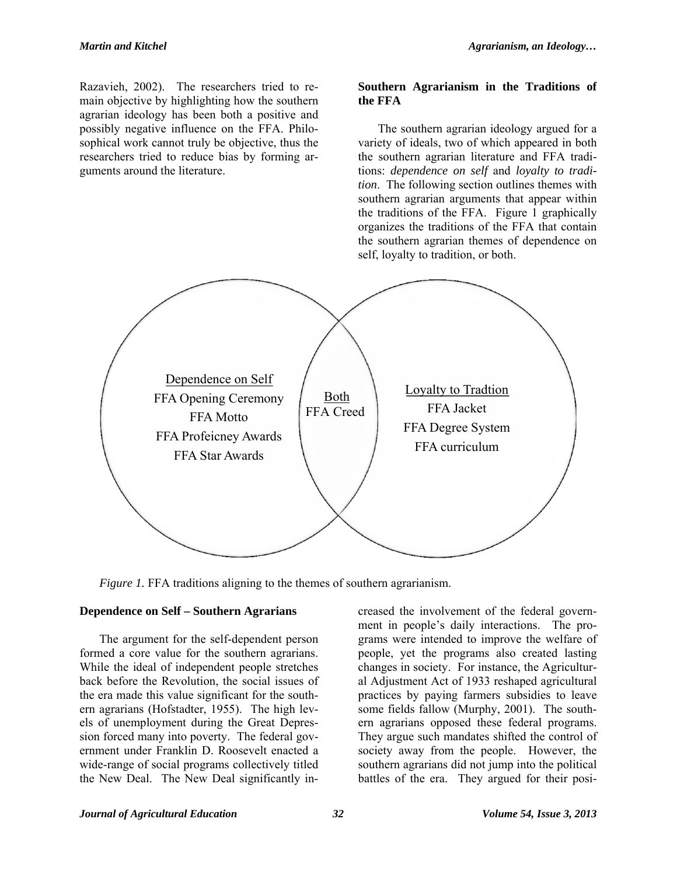Razavieh, 2002). The researchers tried to remain objective by highlighting how the southern agrarian ideology has been both a positive and possibly negative influence on the FFA. Philosophical work cannot truly be objective, thus the researchers tried to reduce bias by forming arguments around the literature.

#### **Southern Agrarianism in the Traditions of the FFA**

The southern agrarian ideology argued for a variety of ideals, two of which appeared in both the southern agrarian literature and FFA traditions: *dependence on self* and *loyalty to tradition*. The following section outlines themes with southern agrarian arguments that appear within the traditions of the FFA. Figure 1 graphically organizes the traditions of the FFA that contain the southern agrarian themes of dependence on self, loyalty to tradition, or both.



*Figure 1.* FFA traditions aligning to the themes of southern agrarianism.

## **Dependence on Self – Southern Agrarians**

The argument for the self-dependent person formed a core value for the southern agrarians. While the ideal of independent people stretches back before the Revolution, the social issues of the era made this value significant for the southern agrarians (Hofstadter, 1955). The high levels of unemployment during the Great Depression forced many into poverty. The federal government under Franklin D. Roosevelt enacted a wide-range of social programs collectively titled the New Deal. The New Deal significantly in-

creased the involvement of the federal government in people's daily interactions. The programs were intended to improve the welfare of people, yet the programs also created lasting changes in society. For instance, the Agricultural Adjustment Act of 1933 reshaped agricultural practices by paying farmers subsidies to leave some fields fallow (Murphy, 2001). The southern agrarians opposed these federal programs. They argue such mandates shifted the control of society away from the people. However, the southern agrarians did not jump into the political battles of the era. They argued for their posi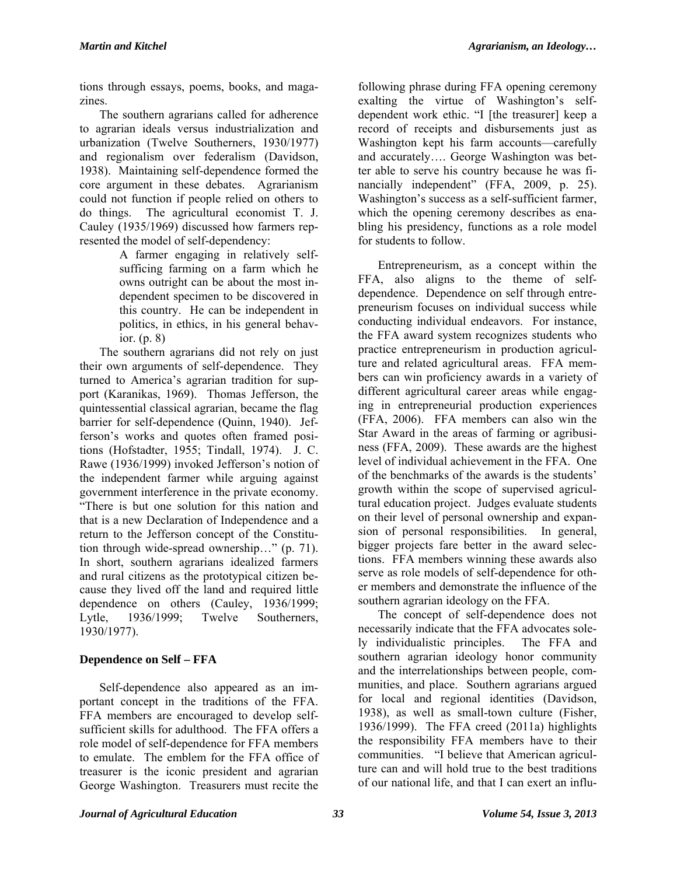tions through essays, poems, books, and magazines.

The southern agrarians called for adherence to agrarian ideals versus industrialization and urbanization (Twelve Southerners, 1930/1977) and regionalism over federalism (Davidson, 1938). Maintaining self-dependence formed the core argument in these debates. Agrarianism could not function if people relied on others to do things. The agricultural economist T. J. Cauley (1935/1969) discussed how farmers represented the model of self-dependency:

A farmer engaging in relatively selfsufficing farming on a farm which he owns outright can be about the most independent specimen to be discovered in this country. He can be independent in politics, in ethics, in his general behavior. (p. 8)

The southern agrarians did not rely on just their own arguments of self-dependence. They turned to America's agrarian tradition for support (Karanikas, 1969). Thomas Jefferson, the quintessential classical agrarian, became the flag barrier for self-dependence (Quinn, 1940). Jefferson's works and quotes often framed positions (Hofstadter, 1955; Tindall, 1974). J. C. Rawe (1936/1999) invoked Jefferson's notion of the independent farmer while arguing against government interference in the private economy. "There is but one solution for this nation and that is a new Declaration of Independence and a return to the Jefferson concept of the Constitution through wide-spread ownership…" (p. 71). In short, southern agrarians idealized farmers and rural citizens as the prototypical citizen because they lived off the land and required little dependence on others (Cauley, 1936/1999; Lytle, 1936/1999; Twelve Southerners, 1930/1977).

# **Dependence on Self – FFA**

Self-dependence also appeared as an important concept in the traditions of the FFA. FFA members are encouraged to develop selfsufficient skills for adulthood. The FFA offers a role model of self-dependence for FFA members to emulate. The emblem for the FFA office of treasurer is the iconic president and agrarian George Washington. Treasurers must recite the

following phrase during FFA opening ceremony exalting the virtue of Washington's selfdependent work ethic. "I [the treasurer] keep a record of receipts and disbursements just as Washington kept his farm accounts—carefully and accurately…. George Washington was better able to serve his country because he was financially independent" (FFA, 2009, p. 25). Washington's success as a self-sufficient farmer, which the opening ceremony describes as enabling his presidency, functions as a role model for students to follow.

Entrepreneurism, as a concept within the FFA, also aligns to the theme of selfdependence. Dependence on self through entrepreneurism focuses on individual success while conducting individual endeavors. For instance, the FFA award system recognizes students who practice entrepreneurism in production agriculture and related agricultural areas. FFA members can win proficiency awards in a variety of different agricultural career areas while engaging in entrepreneurial production experiences (FFA, 2006). FFA members can also win the Star Award in the areas of farming or agribusiness (FFA, 2009). These awards are the highest level of individual achievement in the FFA. One of the benchmarks of the awards is the students' growth within the scope of supervised agricultural education project. Judges evaluate students on their level of personal ownership and expansion of personal responsibilities. In general, bigger projects fare better in the award selections. FFA members winning these awards also serve as role models of self-dependence for other members and demonstrate the influence of the southern agrarian ideology on the FFA.

The concept of self-dependence does not necessarily indicate that the FFA advocates solely individualistic principles. The FFA and southern agrarian ideology honor community and the interrelationships between people, communities, and place. Southern agrarians argued for local and regional identities (Davidson, 1938), as well as small-town culture (Fisher, 1936/1999). The FFA creed (2011a) highlights the responsibility FFA members have to their communities. "I believe that American agriculture can and will hold true to the best traditions of our national life, and that I can exert an influ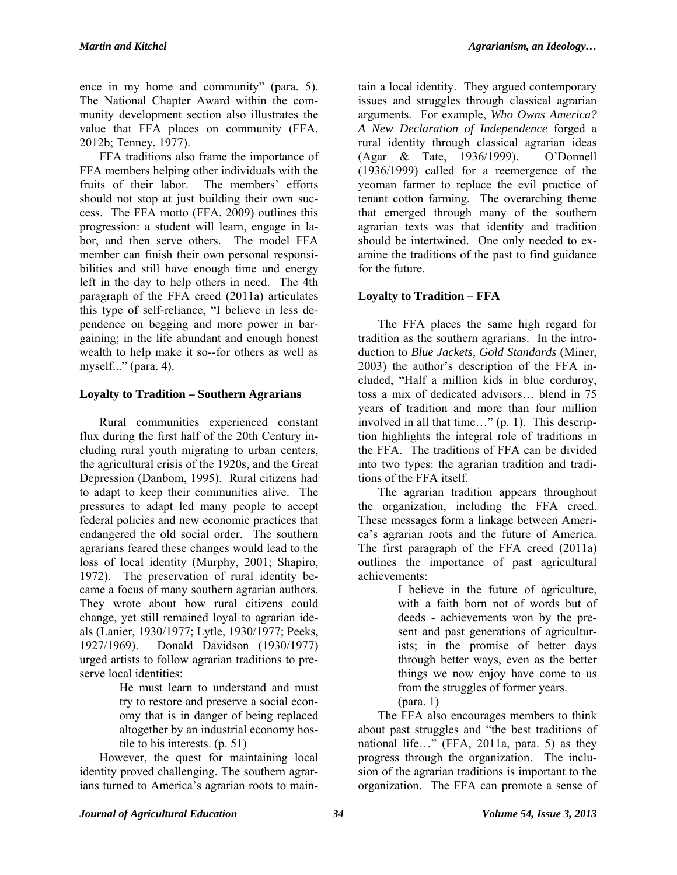ence in my home and community" (para. 5). The National Chapter Award within the community development section also illustrates the value that FFA places on community (FFA, 2012b; Tenney, 1977).

FFA traditions also frame the importance of FFA members helping other individuals with the fruits of their labor. The members' efforts should not stop at just building their own success. The FFA motto (FFA, 2009) outlines this progression: a student will learn, engage in labor, and then serve others. The model FFA member can finish their own personal responsibilities and still have enough time and energy left in the day to help others in need. The 4th paragraph of the FFA creed (2011a) articulates this type of self-reliance, "I believe in less dependence on begging and more power in bargaining; in the life abundant and enough honest wealth to help make it so--for others as well as myself..." (para. 4).

# **Loyalty to Tradition – Southern Agrarians**

Rural communities experienced constant flux during the first half of the 20th Century including rural youth migrating to urban centers, the agricultural crisis of the 1920s, and the Great Depression (Danbom, 1995). Rural citizens had to adapt to keep their communities alive. The pressures to adapt led many people to accept federal policies and new economic practices that endangered the old social order. The southern agrarians feared these changes would lead to the loss of local identity (Murphy, 2001; Shapiro, 1972). The preservation of rural identity became a focus of many southern agrarian authors. They wrote about how rural citizens could change, yet still remained loyal to agrarian ideals (Lanier, 1930/1977; Lytle, 1930/1977; Peeks, 1927/1969). Donald Davidson (1930/1977) urged artists to follow agrarian traditions to preserve local identities:

He must learn to understand and must try to restore and preserve a social economy that is in danger of being replaced altogether by an industrial economy hostile to his interests. (p. 51)

However, the quest for maintaining local identity proved challenging. The southern agrarians turned to America's agrarian roots to main-

tain a local identity. They argued contemporary issues and struggles through classical agrarian arguments. For example, *Who Owns America? A New Declaration of Independence* forged a rural identity through classical agrarian ideas (Agar & Tate, 1936/1999). O'Donnell (1936/1999) called for a reemergence of the yeoman farmer to replace the evil practice of tenant cotton farming. The overarching theme that emerged through many of the southern agrarian texts was that identity and tradition should be intertwined. One only needed to examine the traditions of the past to find guidance for the future.

# **Loyalty to Tradition – FFA**

The FFA places the same high regard for tradition as the southern agrarians. In the introduction to *Blue Jackets, Gold Standards* (Miner, 2003) the author's description of the FFA included, "Half a million kids in blue corduroy, toss a mix of dedicated advisors… blend in 75 years of tradition and more than four million involved in all that time…" (p. 1). This description highlights the integral role of traditions in the FFA. The traditions of FFA can be divided into two types: the agrarian tradition and traditions of the FFA itself.

The agrarian tradition appears throughout the organization, including the FFA creed. These messages form a linkage between America's agrarian roots and the future of America. The first paragraph of the FFA creed (2011a) outlines the importance of past agricultural achievements:

I believe in the future of agriculture, with a faith born not of words but of deeds - achievements won by the present and past generations of agriculturists; in the promise of better days through better ways, even as the better things we now enjoy have come to us from the struggles of former years. (para. 1)

The FFA also encourages members to think about past struggles and "the best traditions of national life…" (FFA, 2011a, para. 5) as they progress through the organization. The inclusion of the agrarian traditions is important to the organization. The FFA can promote a sense of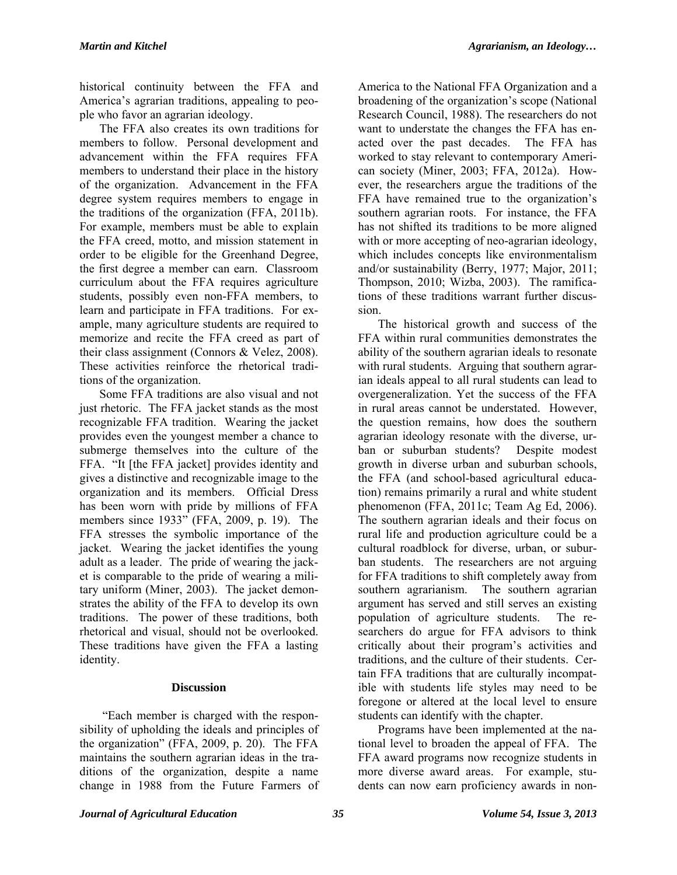historical continuity between the FFA and America's agrarian traditions, appealing to people who favor an agrarian ideology.

The FFA also creates its own traditions for members to follow. Personal development and advancement within the FFA requires FFA members to understand their place in the history of the organization. Advancement in the FFA degree system requires members to engage in the traditions of the organization (FFA, 2011b). For example, members must be able to explain the FFA creed, motto, and mission statement in order to be eligible for the Greenhand Degree, the first degree a member can earn. Classroom curriculum about the FFA requires agriculture students, possibly even non-FFA members, to learn and participate in FFA traditions. For example, many agriculture students are required to memorize and recite the FFA creed as part of their class assignment (Connors & Velez, 2008). These activities reinforce the rhetorical traditions of the organization.

Some FFA traditions are also visual and not just rhetoric. The FFA jacket stands as the most recognizable FFA tradition. Wearing the jacket provides even the youngest member a chance to submerge themselves into the culture of the FFA. "It [the FFA jacket] provides identity and gives a distinctive and recognizable image to the organization and its members. Official Dress has been worn with pride by millions of FFA members since 1933" (FFA, 2009, p. 19). The FFA stresses the symbolic importance of the jacket. Wearing the jacket identifies the young adult as a leader. The pride of wearing the jacket is comparable to the pride of wearing a military uniform (Miner, 2003). The jacket demonstrates the ability of the FFA to develop its own traditions. The power of these traditions, both rhetorical and visual, should not be overlooked. These traditions have given the FFA a lasting identity.

### **Discussion**

 "Each member is charged with the responsibility of upholding the ideals and principles of the organization" (FFA, 2009, p. 20). The FFA maintains the southern agrarian ideas in the traditions of the organization, despite a name change in 1988 from the Future Farmers of

America to the National FFA Organization and a broadening of the organization's scope (National Research Council, 1988). The researchers do not want to understate the changes the FFA has enacted over the past decades. The FFA has worked to stay relevant to contemporary American society (Miner, 2003; FFA, 2012a). However, the researchers argue the traditions of the FFA have remained true to the organization's southern agrarian roots. For instance, the FFA has not shifted its traditions to be more aligned with or more accepting of neo-agrarian ideology, which includes concepts like environmentalism and/or sustainability (Berry, 1977; Major, 2011; Thompson, 2010; Wizba, 2003). The ramifications of these traditions warrant further discussion.

The historical growth and success of the FFA within rural communities demonstrates the ability of the southern agrarian ideals to resonate with rural students. Arguing that southern agrarian ideals appeal to all rural students can lead to overgeneralization. Yet the success of the FFA in rural areas cannot be understated. However, the question remains, how does the southern agrarian ideology resonate with the diverse, urban or suburban students? Despite modest growth in diverse urban and suburban schools, the FFA (and school-based agricultural education) remains primarily a rural and white student phenomenon (FFA, 2011c; Team Ag Ed, 2006). The southern agrarian ideals and their focus on rural life and production agriculture could be a cultural roadblock for diverse, urban, or suburban students. The researchers are not arguing for FFA traditions to shift completely away from southern agrarianism. The southern agrarian argument has served and still serves an existing population of agriculture students. The researchers do argue for FFA advisors to think critically about their program's activities and traditions, and the culture of their students. Certain FFA traditions that are culturally incompatible with students life styles may need to be foregone or altered at the local level to ensure students can identify with the chapter.

Programs have been implemented at the national level to broaden the appeal of FFA. The FFA award programs now recognize students in more diverse award areas. For example, students can now earn proficiency awards in non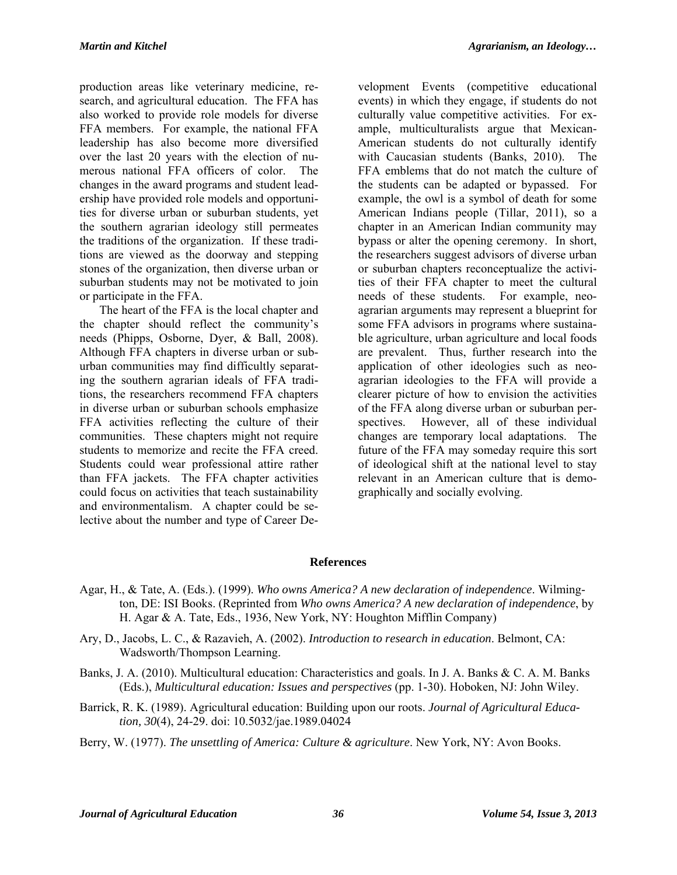production areas like veterinary medicine, research, and agricultural education. The FFA has also worked to provide role models for diverse FFA members. For example, the national FFA leadership has also become more diversified over the last 20 years with the election of numerous national FFA officers of color. The changes in the award programs and student leadership have provided role models and opportunities for diverse urban or suburban students, yet the southern agrarian ideology still permeates the traditions of the organization. If these traditions are viewed as the doorway and stepping stones of the organization, then diverse urban or suburban students may not be motivated to join or participate in the FFA.

The heart of the FFA is the local chapter and the chapter should reflect the community's needs (Phipps, Osborne, Dyer, & Ball, 2008). Although FFA chapters in diverse urban or suburban communities may find difficultly separating the southern agrarian ideals of FFA traditions, the researchers recommend FFA chapters in diverse urban or suburban schools emphasize FFA activities reflecting the culture of their communities. These chapters might not require students to memorize and recite the FFA creed. Students could wear professional attire rather than FFA jackets. The FFA chapter activities could focus on activities that teach sustainability and environmentalism. A chapter could be selective about the number and type of Career De-

velopment Events (competitive educational events) in which they engage, if students do not culturally value competitive activities. For example, multiculturalists argue that Mexican-American students do not culturally identify with Caucasian students (Banks, 2010). The FFA emblems that do not match the culture of the students can be adapted or bypassed. For example, the owl is a symbol of death for some American Indians people (Tillar, 2011), so a chapter in an American Indian community may bypass or alter the opening ceremony. In short, the researchers suggest advisors of diverse urban or suburban chapters reconceptualize the activities of their FFA chapter to meet the cultural needs of these students. For example, neoagrarian arguments may represent a blueprint for some FFA advisors in programs where sustainable agriculture, urban agriculture and local foods are prevalent. Thus, further research into the application of other ideologies such as neoagrarian ideologies to the FFA will provide a clearer picture of how to envision the activities of the FFA along diverse urban or suburban perspectives. However, all of these individual changes are temporary local adaptations. The future of the FFA may someday require this sort of ideological shift at the national level to stay relevant in an American culture that is demographically and socially evolving.

### **References**

- Agar, H., & Tate, A. (Eds.). (1999). *Who owns America? A new declaration of independence*. Wilmington, DE: ISI Books. (Reprinted from *Who owns America? A new declaration of independence*, by H. Agar & A. Tate, Eds., 1936, New York, NY: Houghton Mifflin Company)
- Ary, D., Jacobs, L. C., & Razavieh, A. (2002). *Introduction to research in education*. Belmont, CA: Wadsworth/Thompson Learning.
- Banks, J. A. (2010). Multicultural education: Characteristics and goals. In J. A. Banks & C. A. M. Banks (Eds.), *Multicultural education: Issues and perspectives* (pp. 1-30). Hoboken, NJ: John Wiley.
- Barrick, R. K. (1989). Agricultural education: Building upon our roots. *Journal of Agricultural Education, 30*(4), 24-29. doi: 10.5032/jae.1989.04024
- Berry, W. (1977). *The unsettling of America: Culture & agriculture*. New York, NY: Avon Books.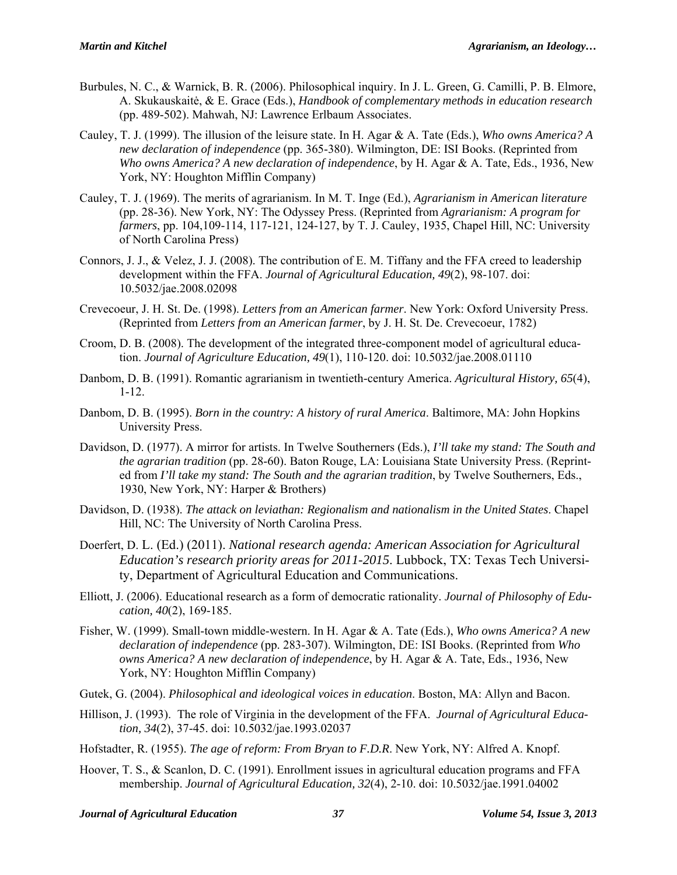- Burbules, N. C., & Warnick, B. R. (2006). Philosophical inquiry. In J. L. Green, G. Camilli, P. B. Elmore, A. Skukauskaitė, & E. Grace (Eds.), *Handbook of complementary methods in education research* (pp. 489-502). Mahwah, NJ: Lawrence Erlbaum Associates.
- Cauley, T. J. (1999). The illusion of the leisure state. In H. Agar & A. Tate (Eds.), *Who owns America? A new declaration of independence* (pp. 365-380). Wilmington, DE: ISI Books. (Reprinted from *Who owns America? A new declaration of independence*, by H. Agar & A. Tate, Eds., 1936, New York, NY: Houghton Mifflin Company)
- Cauley, T. J. (1969). The merits of agrarianism. In M. T. Inge (Ed.), *Agrarianism in American literature* (pp. 28-36). New York, NY: The Odyssey Press. (Reprinted from *Agrarianism: A program for farmers*, pp. 104,109-114, 117-121, 124-127, by T. J. Cauley, 1935, Chapel Hill, NC: University of North Carolina Press)
- Connors, J. J., & Velez, J. J. (2008). The contribution of E. M. Tiffany and the FFA creed to leadership development within the FFA. *Journal of Agricultural Education, 49*(2), 98-107. doi: 10.5032/jae.2008.02098
- Crevecoeur, J. H. St. De. (1998). *Letters from an American farmer*. New York: Oxford University Press. (Reprinted from *Letters from an American farmer*, by J. H. St. De. Crevecoeur, 1782)
- Croom, D. B. (2008). The development of the integrated three-component model of agricultural education. *Journal of Agriculture Education, 49*(1), 110-120. doi: 10.5032/jae.2008.01110
- Danbom, D. B. (1991). Romantic agrarianism in twentieth-century America. *Agricultural History, 65*(4), 1-12.
- Danbom, D. B. (1995). *Born in the country: A history of rural America*. Baltimore, MA: John Hopkins University Press.
- Davidson, D. (1977). A mirror for artists. In Twelve Southerners (Eds.), *I'll take my stand: The South and the agrarian tradition* (pp. 28-60). Baton Rouge, LA: Louisiana State University Press. (Reprinted from *I'll take my stand: The South and the agrarian tradition*, by Twelve Southerners, Eds., 1930, New York, NY: Harper & Brothers)
- Davidson, D. (1938). *The attack on leviathan: Regionalism and nationalism in the United States*. Chapel Hill, NC: The University of North Carolina Press.
- Doerfert, D. L. (Ed.) (2011). *National research agenda: American Association for Agricultural Education's research priority areas for 2011-2015*. Lubbock, TX: Texas Tech University, Department of Agricultural Education and Communications.
- Elliott, J. (2006). Educational research as a form of democratic rationality. *Journal of Philosophy of Education, 40*(2), 169-185.
- Fisher, W. (1999). Small-town middle-western. In H. Agar & A. Tate (Eds.), *Who owns America? A new declaration of independence* (pp. 283-307). Wilmington, DE: ISI Books. (Reprinted from *Who owns America? A new declaration of independence*, by H. Agar & A. Tate, Eds., 1936, New York, NY: Houghton Mifflin Company)
- Gutek, G. (2004). *Philosophical and ideological voices in education*. Boston, MA: Allyn and Bacon.
- Hillison, J. (1993). The role of Virginia in the development of the FFA. *Journal of Agricultural Education, 34*(2), 37-45. doi: 10.5032/jae.1993.02037
- Hofstadter, R. (1955). *The age of reform: From Bryan to F.D.R*. New York, NY: Alfred A. Knopf.
- Hoover, T. S., & Scanlon, D. C. (1991). Enrollment issues in agricultural education programs and FFA membership. *Journal of Agricultural Education, 32*(4), 2-10. doi: 10.5032/jae.1991.04002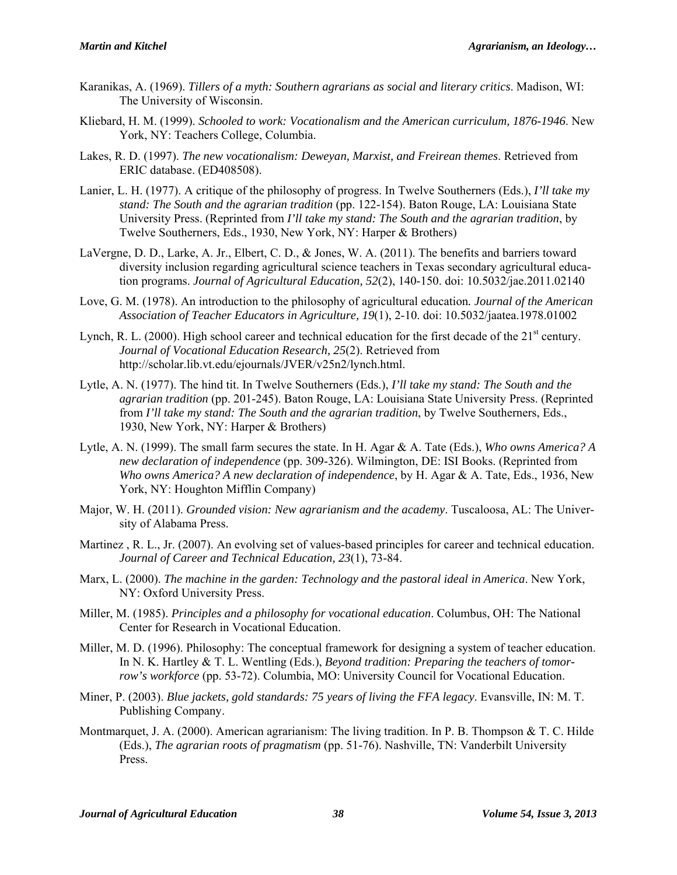- Karanikas, A. (1969). *Tillers of a myth: Southern agrarians as social and literary critics*. Madison, WI: The University of Wisconsin.
- Kliebard, H. M. (1999). *Schooled to work: Vocationalism and the American curriculum, 1876-1946*. New York, NY: Teachers College, Columbia.
- Lakes, R. D. (1997). *The new vocationalism: Deweyan, Marxist, and Freirean themes*. Retrieved from ERIC database. (ED408508).
- Lanier, L. H. (1977). A critique of the philosophy of progress. In Twelve Southerners (Eds.), *I'll take my stand: The South and the agrarian tradition* (pp. 122-154). Baton Rouge, LA: Louisiana State University Press. (Reprinted from *I'll take my stand: The South and the agrarian tradition*, by Twelve Southerners, Eds., 1930, New York, NY: Harper & Brothers)
- LaVergne, D. D., Larke, A. Jr., Elbert, C. D., & Jones, W. A. (2011). The benefits and barriers toward diversity inclusion regarding agricultural science teachers in Texas secondary agricultural education programs. *Journal of Agricultural Education, 52*(2), 140-150. doi: 10.5032/jae.2011.02140
- Love, G. M. (1978). An introduction to the philosophy of agricultural education*. Journal of the American Association of Teacher Educators in Agriculture, 19*(1), 2-10. doi: 10.5032/jaatea.1978.01002
- Lynch, R. L. (2000). High school career and technical education for the first decade of the  $21<sup>st</sup>$  century. *Journal of Vocational Education Research, 25*(2). Retrieved from http://scholar.lib.vt.edu/ejournals/JVER/v25n2/lynch.html.
- Lytle, A. N. (1977). The hind tit. In Twelve Southerners (Eds.), *I'll take my stand: The South and the agrarian tradition* (pp. 201-245). Baton Rouge, LA: Louisiana State University Press. (Reprinted from *I'll take my stand: The South and the agrarian tradition*, by Twelve Southerners, Eds., 1930, New York, NY: Harper & Brothers)
- Lytle, A. N. (1999). The small farm secures the state. In H. Agar & A. Tate (Eds.), *Who owns America? A new declaration of independence* (pp. 309-326). Wilmington, DE: ISI Books. (Reprinted from *Who owns America? A new declaration of independence*, by H. Agar & A. Tate, Eds., 1936, New York, NY: Houghton Mifflin Company)
- Major, W. H. (2011). *Grounded vision: New agrarianism and the academy*. Tuscaloosa, AL: The University of Alabama Press.
- Martinez , R. L., Jr. (2007). An evolving set of values-based principles for career and technical education. *Journal of Career and Technical Education, 23*(1), 73-84.
- Marx, L. (2000). *The machine in the garden: Technology and the pastoral ideal in America*. New York, NY: Oxford University Press.
- Miller, M. (1985). *Principles and a philosophy for vocational education*. Columbus, OH: The National Center for Research in Vocational Education.
- Miller, M. D. (1996). Philosophy: The conceptual framework for designing a system of teacher education. In N. K. Hartley & T. L. Wentling (Eds.), *Beyond tradition: Preparing the teachers of tomorrow's workforce* (pp. 53-72). Columbia, MO: University Council for Vocational Education.
- Miner, P. (2003). *Blue jackets, gold standards: 75 years of living the FFA legacy*. Evansville, IN: M. T. Publishing Company.
- Montmarquet, J. A. (2000). American agrarianism: The living tradition. In P. B. Thompson & T. C. Hilde (Eds.), *The agrarian roots of pragmatism* (pp. 51-76). Nashville, TN: Vanderbilt University Press.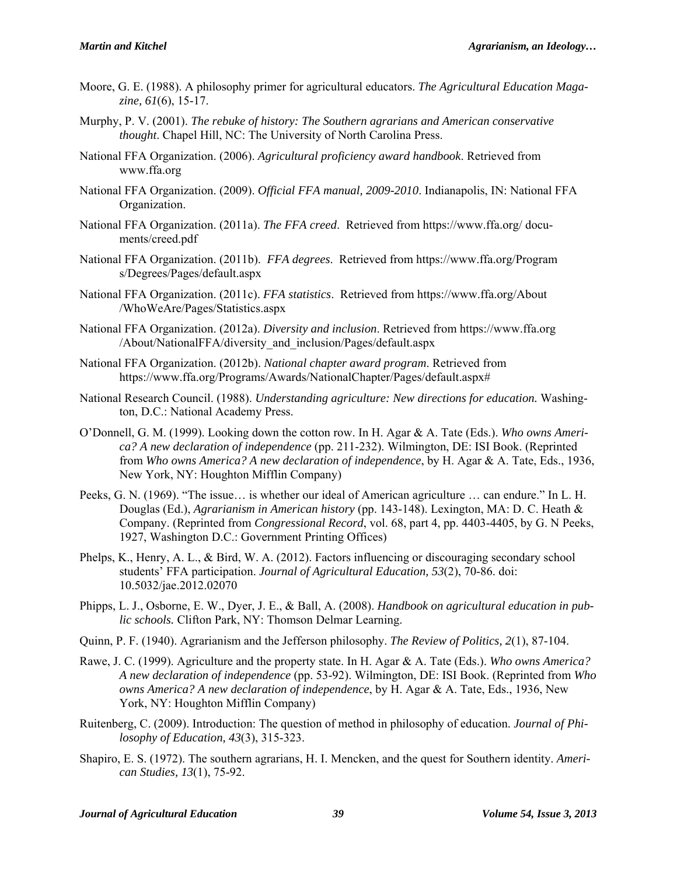- Moore, G. E. (1988). A philosophy primer for agricultural educators. *The Agricultural Education Magazine, 61*(6), 15-17.
- Murphy, P. V. (2001). *The rebuke of history: The Southern agrarians and American conservative thought*. Chapel Hill, NC: The University of North Carolina Press.
- National FFA Organization. (2006). *Agricultural proficiency award handbook*. Retrieved from www.ffa.org
- National FFA Organization. (2009). *Official FFA manual, 2009-2010*. Indianapolis, IN: National FFA Organization.
- National FFA Organization. (2011a). *The FFA creed*. Retrieved from https://www.ffa.org/ documents/creed.pdf
- National FFA Organization. (2011b). *FFA degrees*. Retrieved from https://www.ffa.org/Program s/Degrees/Pages/default.aspx
- National FFA Organization. (2011c). *FFA statistics*. Retrieved from https://www.ffa.org/About /WhoWeAre/Pages/Statistics.aspx
- National FFA Organization. (2012a). *Diversity and inclusion*. Retrieved from https://www.ffa.org /About/NationalFFA/diversity\_and\_inclusion/Pages/default.aspx
- National FFA Organization. (2012b). *National chapter award program*. Retrieved from https://www.ffa.org/Programs/Awards/NationalChapter/Pages/default.aspx#
- National Research Council. (1988). *Understanding agriculture: New directions for education.* Washington, D.C.: National Academy Press.
- O'Donnell, G. M. (1999). Looking down the cotton row. In H. Agar & A. Tate (Eds.). *Who owns America? A new declaration of independence* (pp. 211-232). Wilmington, DE: ISI Book. (Reprinted from *Who owns America? A new declaration of independence*, by H. Agar & A. Tate, Eds., 1936, New York, NY: Houghton Mifflin Company)
- Peeks, G. N. (1969). "The issue… is whether our ideal of American agriculture … can endure." In L. H. Douglas (Ed.), *Agrarianism in American history* (pp. 143-148). Lexington, MA: D. C. Heath & Company. (Reprinted from *Congressional Record*, vol. 68, part 4, pp. 4403-4405, by G. N Peeks, 1927, Washington D.C.: Government Printing Offices)
- Phelps, K., Henry, A. L., & Bird, W. A. (2012). Factors influencing or discouraging secondary school students' FFA participation. *Journal of Agricultural Education, 53*(2), 70-86. doi: 10.5032/jae.2012.02070
- Phipps, L. J., Osborne, E. W., Dyer, J. E., & Ball, A. (2008). *Handbook on agricultural education in public schools.* Clifton Park, NY: Thomson Delmar Learning.
- Quinn, P. F. (1940). Agrarianism and the Jefferson philosophy. *The Review of Politics, 2*(1), 87-104.
- Rawe, J. C. (1999). Agriculture and the property state. In H. Agar & A. Tate (Eds.). *Who owns America? A new declaration of independence* (pp. 53-92). Wilmington, DE: ISI Book. (Reprinted from *Who owns America? A new declaration of independence*, by H. Agar & A. Tate, Eds., 1936, New York, NY: Houghton Mifflin Company)
- Ruitenberg, C. (2009). Introduction: The question of method in philosophy of education. *Journal of Philosophy of Education, 43*(3), 315-323.
- Shapiro, E. S. (1972). The southern agrarians, H. I. Mencken, and the quest for Southern identity. *American Studies, 13*(1), 75-92.